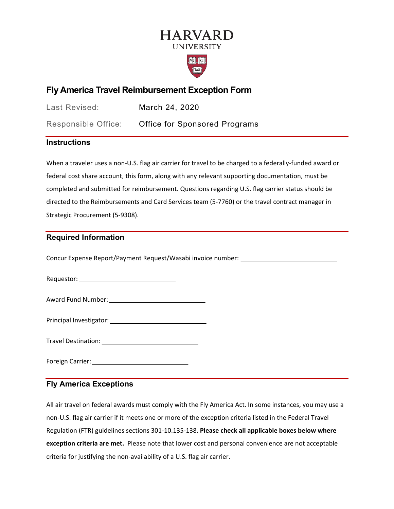# **HARVARD UNIVERSITY**



## **Fly America Travel Reimbursement Exception Form**

Last Revised: March 24, 2020

Responsible Office: Office for Sponsored Programs

### **Instructions**

 federal cost share account, this form, along with any relevant supporting documentation, must be directed to the Reimbursements and Card Services team (5-7760) or the travel contract manager in When a traveler uses a non-U.S. flag air carrier for travel to be charged to a federally-funded award or completed and submitted for reimbursement. Questions regarding U.S. flag carrier status should be Strategic Procurement (5-9308).

### **Required Information**

Concur Expense Report/Payment Request/Wasabi invoice number:

Requestor:

Award Fund Number:

Principal Investigator:

Travel Destination:

Foreign Carrier:

### **Fly America Exceptions**

 non-U.S. flag air carrier if it meets one or more of the exception criteria listed in the Federal Travel  Regulation (FTR) guidelines sections 301-10.135-138. **Please check all applicable boxes below where**  criteria for justifying the non-availability of a U.S. flag air carrier. All air travel on federal awards must comply with the Fly America Act. In some instances, you may use a **exception criteria are met.** Please note that lower cost and personal convenience are not acceptable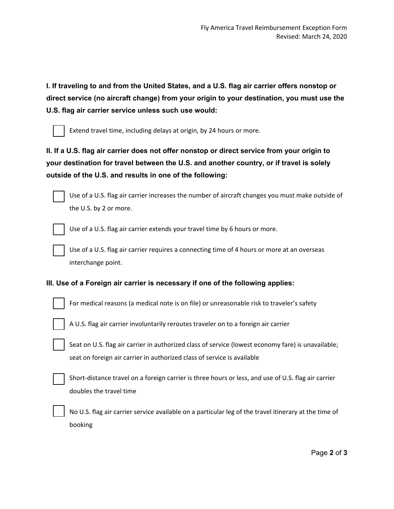**I. If traveling to and from the United States, and a U.S. flag air carrier offers nonstop or direct service (no aircraft change) from your origin to your destination, you must use the U.S. flag air carrier service unless such use would:** 



Extend travel time, including delays at origin, by 24 hours or more.

**II. If a U.S. flag air carrier does not offer nonstop or direct service from your origin to your destination for travel between the U.S. and another country, or if travel is solely outside of the U.S. and results in one of the following:** 



Use of a U.S. flag air carrier increases the number of aircraft changes you must make outside of the U.S. by 2 or more.



Use of a U.S. flag air carrier extends your travel time by 6 hours or more.

Use of a U.S. flag air carrier requires a connecting time of 4 hours or more at an overseas interchange point.

#### **III. Use of a Foreign air carrier is necessary if one of the following applies:**



For medical reasons (a medical note is on file) or unreasonable risk to traveler's safety



A U.S. flag air carrier involuntarily reroutes traveler on to a foreign air carrier

Seat on U.S. flag air carrier in authorized class of service (lowest economy fare) is unavailable; seat on foreign air carrier in authorized class of service is available

Short-distance travel on a foreign carrier is three hours or less, and use of U.S. flag air carrier doubles the travel time

No U.S. flag air carrier service available on a particular leg of the travel itinerary at the time of booking